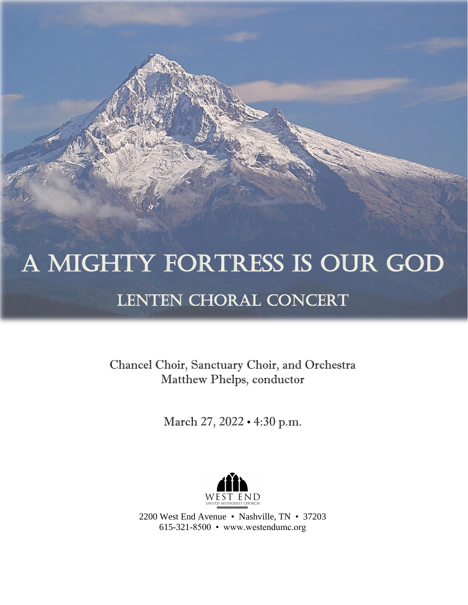# A Mighty Fortress is Our God LENTEN CHORAL CONCERT

Chancel Choir, Sanctuary Choir, and Orchestra Matthew Phelps, conductor

March 27, 2022 • 4:30 p.m.



2200 West End Avenue • Nashville, TN • 37203 615-321-8500 • www.westendumc.org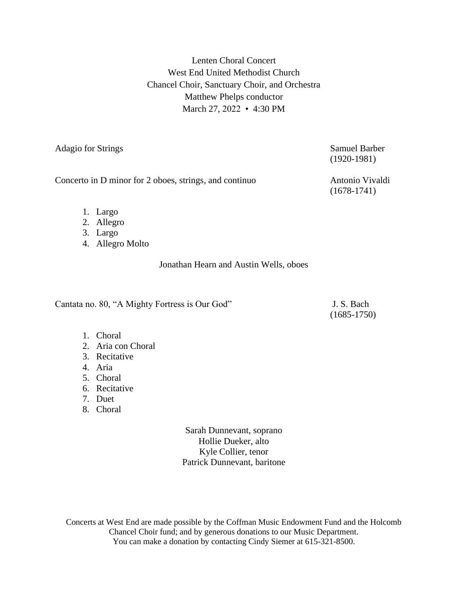Lenten Choral Concert West End United Methodist Church Chancel Choir, Sanctuary Choir, and Orchestra Matthew Phelps conductor March 27, 2022 • 4:30 PM

Adagio for Strings Samuel Barber

Concerto in D minor for 2 oboes, strings, and continuo Antonio Vivaldi

(1920-1981)

(1678-1741)

- 1. Largo
- 2. Allegro
- 3. Largo
- 4. Allegro Molto

Jonathan Hearn and Austin Wells, oboes

Cantata no. 80, "A Mighty Fortress is Our God" J. S. Bach

(1685-1750)

- 1. Choral
- 2. Aria con Choral
- 3. Recitative
- 4. Aria
- 5. Choral
- 6. Recitative
- 7. Duet
- 8. Choral

Sarah Dunnevant, soprano Hollie Dueker, alto Kyle Collier, tenor Patrick Dunnevant, baritone

Concerts at West End are made possible by the Coffman Music Endowment Fund and the Holcomb Chancel Choir fund; and by generous donations to our Music Department. You can make a donation by contacting Cindy Siemer at 615-321-8500.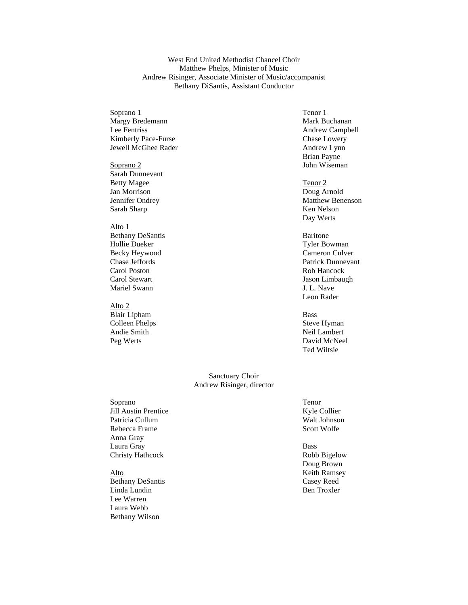#### West End United Methodist Chancel Choir Matthew Phelps, Minister of Music Andrew Risinger, Associate Minister of Music/accompanist Bethany DiSantis, Assistant Conductor

#### Soprano 1 Tenor 1 Margy Bredemann Mark Buchanan Lee Fentriss Andrew Campbell Kimberly Pace-Furse Chase Lowery Jewell McGhee Rader Andrew Lynn

Soprano 2 John Wiseman Sarah Dunnevant Betty Magee Tenor 2 Jan Morrison Doug Arnold Sarah Sharp Ken Nelson

# Alto 1

Bethany DeSantis Baritone Hollie Dueker Tyler Bowman<br>Becky Heywood Cameron Culver Becky Heywood Carol Poston Rob Hancock Carol Stewart Jason Limbaugh Mariel Swann J. L. Nave

#### Alto 2

Blair Lipham Bass Colleen Phelps<br>
Andie Smith<br>
Andie Smith<br>
Neil Lambert Andie Smith

# Brian Payne

Jennifer Ondrey Matthew Benenson Day Werts

Chase Jeffords Patrick Dunnevant Leon Rader

Peg Werts David McNeel Ted Wiltsie

#### Sanctuary Choir Andrew Risinger, director

Soprano (Soprano Tenor Español e Alegador Español e Alegador Español Español Español Español Español Español E<br>Sentido de Alegador Español Español Español Español Español Español Español Español Español Español Español E Jill Austin Prentice Patricia Cullum Walt Johnson<br>Rebecca Frame Scott Wolfe Rebecca Frame Anna Gray Laura Gray Bass Christy Hathcock Robb Bigelow

Bethany DeSantis Casey Reed Linda Lundin Ben Troxler Lee Warren Laura Webb Bethany Wilson

Doug Brown Alto Keith Ramsey